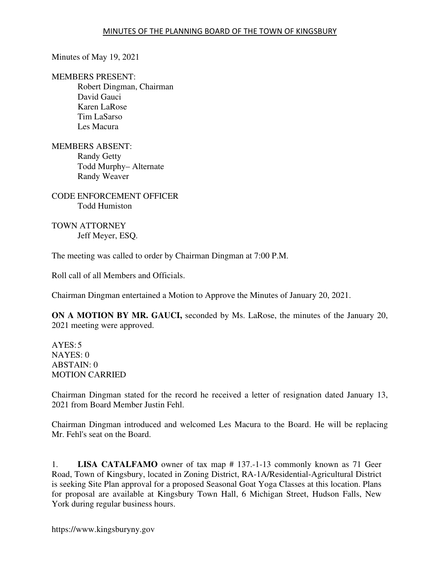Minutes of May 19, 2021

MEMBERS PRESENT:

Robert Dingman, Chairman David Gauci Karen LaRose Tim LaSarso Les Macura

MEMBERS ABSENT: Randy Getty Todd Murphy– Alternate Randy Weaver

CODE ENFORCEMENT OFFICER Todd Humiston

TOWN ATTORNEY Jeff Meyer, ESQ.

The meeting was called to order by Chairman Dingman at 7:00 P.M.

Roll call of all Members and Officials.

Chairman Dingman entertained a Motion to Approve the Minutes of January 20, 2021.

**ON A MOTION BY MR. GAUCI,** seconded by Ms. LaRose, the minutes of the January 20, 2021 meeting were approved.

 $AYES:5$ NAYES: 0 ABSTAIN: 0 MOTION CARRIED

Chairman Dingman stated for the record he received a letter of resignation dated January 13, 2021 from Board Member Justin Fehl.

Chairman Dingman introduced and welcomed Les Macura to the Board. He will be replacing Mr. Fehl's seat on the Board.

1. **LISA CATALFAMO** owner of tax map # 137.-1-13 commonly known as 71 Geer Road, Town of Kingsbury, located in Zoning District, RA-1A/Residential-Agricultural District is seeking Site Plan approval for a proposed Seasonal Goat Yoga Classes at this location. Plans for proposal are available at Kingsbury Town Hall, 6 Michigan Street, Hudson Falls, New York during regular business hours.

https://www.kingsburyny.gov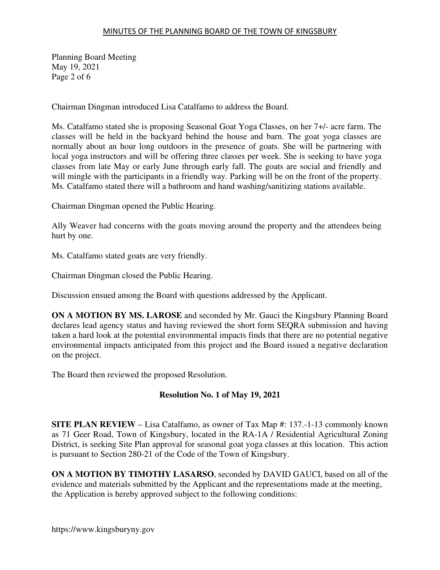## MINUTES OF THE PLANNING BOARD OF THE TOWN OF KINGSBURY

Planning Board Meeting May 19, 2021 Page 2 of 6

Chairman Dingman introduced Lisa Catalfamo to address the Board.

Ms. Catalfamo stated she is proposing Seasonal Goat Yoga Classes, on her 7+/- acre farm. The classes will be held in the backyard behind the house and barn. The goat yoga classes are normally about an hour long outdoors in the presence of goats. She will be partnering with local yoga instructors and will be offering three classes per week. She is seeking to have yoga classes from late May or early June through early fall. The goats are social and friendly and will mingle with the participants in a friendly way. Parking will be on the front of the property. Ms. Catalfamo stated there will a bathroom and hand washing/sanitizing stations available.

Chairman Dingman opened the Public Hearing.

Ally Weaver had concerns with the goats moving around the property and the attendees being hurt by one.

Ms. Catalfamo stated goats are very friendly.

Chairman Dingman closed the Public Hearing.

Discussion ensued among the Board with questions addressed by the Applicant.

**ON A MOTION BY MS. LAROSE** and seconded by Mr. Gauci the Kingsbury Planning Board declares lead agency status and having reviewed the short form SEQRA submission and having taken a hard look at the potential environmental impacts finds that there are no potential negative environmental impacts anticipated from this project and the Board issued a negative declaration on the project.

The Board then reviewed the proposed Resolution.

## **Resolution No. 1 of May 19, 2021**

**SITE PLAN REVIEW** – Lisa Catalfamo, as owner of Tax Map #: 137.-1-13 commonly known as 71 Geer Road, Town of Kingsbury, located in the RA-1A / Residential Agricultural Zoning District, is seeking Site Plan approval for seasonal goat yoga classes at this location. This action is pursuant to Section 280-21 of the Code of the Town of Kingsbury.

**ON A MOTION BY TIMOTHY LASARSO**, seconded by DAVID GAUCI, based on all of the evidence and materials submitted by the Applicant and the representations made at the meeting, the Application is hereby approved subject to the following conditions: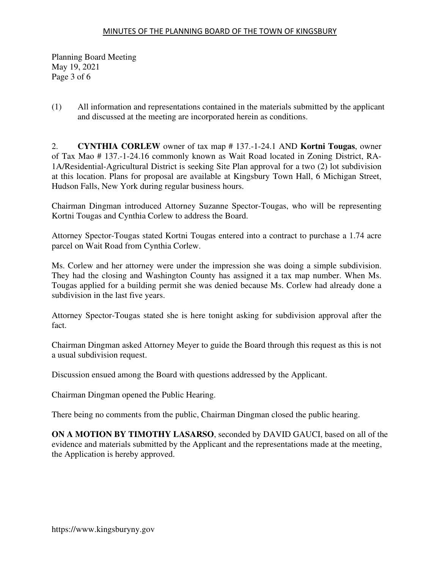Planning Board Meeting May 19, 2021 Page 3 of 6

(1) All information and representations contained in the materials submitted by the applicant and discussed at the meeting are incorporated herein as conditions.

2. **CYNTHIA CORLEW** owner of tax map # 137.-1-24.1 AND **Kortni Tougas**, owner of Tax Mao # 137.-1-24.16 commonly known as Wait Road located in Zoning District, RA-1A/Residential-Agricultural District is seeking Site Plan approval for a two (2) lot subdivision at this location. Plans for proposal are available at Kingsbury Town Hall, 6 Michigan Street, Hudson Falls, New York during regular business hours.

Chairman Dingman introduced Attorney Suzanne Spector-Tougas, who will be representing Kortni Tougas and Cynthia Corlew to address the Board.

Attorney Spector-Tougas stated Kortni Tougas entered into a contract to purchase a 1.74 acre parcel on Wait Road from Cynthia Corlew.

Ms. Corlew and her attorney were under the impression she was doing a simple subdivision. They had the closing and Washington County has assigned it a tax map number. When Ms. Tougas applied for a building permit she was denied because Ms. Corlew had already done a subdivision in the last five years.

Attorney Spector-Tougas stated she is here tonight asking for subdivision approval after the fact.

Chairman Dingman asked Attorney Meyer to guide the Board through this request as this is not a usual subdivision request.

Discussion ensued among the Board with questions addressed by the Applicant.

Chairman Dingman opened the Public Hearing.

There being no comments from the public, Chairman Dingman closed the public hearing.

**ON A MOTION BY TIMOTHY LASARSO**, seconded by DAVID GAUCI, based on all of the evidence and materials submitted by the Applicant and the representations made at the meeting, the Application is hereby approved.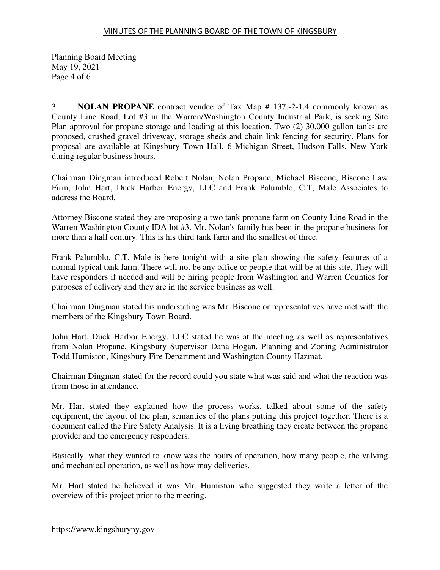Planning Board Meeting May 19, 2021 Page 4 of 6

3. **NOLAN PROPANE** contract vendee of Tax Map # 137.-2-1.4 commonly known as County Line Road, Lot #3 in the Warren/Washington County Industrial Park, is seeking Site Plan approval for propane storage and loading at this location. Two (2) 30,000 gallon tanks are proposed, crushed gravel driveway, storage sheds and chain link fencing for security. Plans for proposal are available at Kingsbury Town Hall, 6 Michigan Street, Hudson Falls, New York during regular business hours.

Chairman Dingman introduced Robert Nolan, Nolan Propane, Michael Biscone, Biscone Law Firm, John Hart, Duck Harbor Energy, LLC and Frank Palumblo, C.T, Male Associates to address the Board.

Attorney Biscone stated they are proposing a two tank propane farm on County Line Road in the Warren Washington County IDA lot #3. Mr. Nolan's family has been in the propane business for more than a half century. This is his third tank farm and the smallest of three.

Frank Palumblo, C.T. Male is here tonight with a site plan showing the safety features of a normal typical tank farm. There will not be any office or people that will be at this site. They will have responders if needed and will be hiring people from Washington and Warren Counties for purposes of delivery and they are in the service business as well.

Chairman Dingman stated his understating was Mr. Biscone or representatives have met with the members of the Kingsbury Town Board.

John Hart, Duck Harbor Energy, LLC stated he was at the meeting as well as representatives from Nolan Propane, Kingsbury Supervisor Dana Hogan, Planning and Zoning Administrator Todd Humiston, Kingsbury Fire Department and Washington County Hazmat.

Chairman Dingman stated for the record could you state what was said and what the reaction was from those in attendance.

Mr. Hart stated they explained how the process works, talked about some of the safety equipment, the layout of the plan, semantics of the plans putting this project together. There is a document called the Fire Safety Analysis. It is a living breathing they create between the propane provider and the emergency responders.

Basically, what they wanted to know was the hours of operation, how many people, the valving and mechanical operation, as well as how may deliveries.

Mr. Hart stated he believed it was Mr. Humiston who suggested they write a letter of the overview of this project prior to the meeting.

https://www.kingsburyny.gov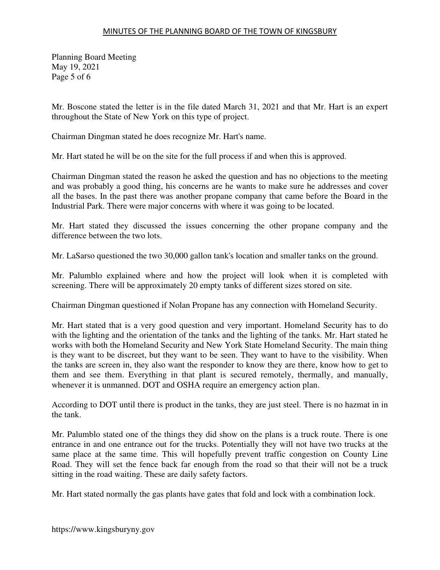## MINUTES OF THE PLANNING BOARD OF THE TOWN OF KINGSBURY

Planning Board Meeting May 19, 2021 Page 5 of 6

Mr. Boscone stated the letter is in the file dated March 31, 2021 and that Mr. Hart is an expert throughout the State of New York on this type of project.

Chairman Dingman stated he does recognize Mr. Hart's name.

Mr. Hart stated he will be on the site for the full process if and when this is approved.

Chairman Dingman stated the reason he asked the question and has no objections to the meeting and was probably a good thing, his concerns are he wants to make sure he addresses and cover all the bases. In the past there was another propane company that came before the Board in the Industrial Park. There were major concerns with where it was going to be located.

Mr. Hart stated they discussed the issues concerning the other propane company and the difference between the two lots.

Mr. LaSarso questioned the two 30,000 gallon tank's location and smaller tanks on the ground.

Mr. Palumblo explained where and how the project will look when it is completed with screening. There will be approximately 20 empty tanks of different sizes stored on site.

Chairman Dingman questioned if Nolan Propane has any connection with Homeland Security.

Mr. Hart stated that is a very good question and very important. Homeland Security has to do with the lighting and the orientation of the tanks and the lighting of the tanks. Mr. Hart stated he works with both the Homeland Security and New York State Homeland Security. The main thing is they want to be discreet, but they want to be seen. They want to have to the visibility. When the tanks are screen in, they also want the responder to know they are there, know how to get to them and see them. Everything in that plant is secured remotely, thermally, and manually, whenever it is unmanned. DOT and OSHA require an emergency action plan.

According to DOT until there is product in the tanks, they are just steel. There is no hazmat in in the tank.

Mr. Palumblo stated one of the things they did show on the plans is a truck route. There is one entrance in and one entrance out for the trucks. Potentially they will not have two trucks at the same place at the same time. This will hopefully prevent traffic congestion on County Line Road. They will set the fence back far enough from the road so that their will not be a truck sitting in the road waiting. These are daily safety factors.

Mr. Hart stated normally the gas plants have gates that fold and lock with a combination lock.